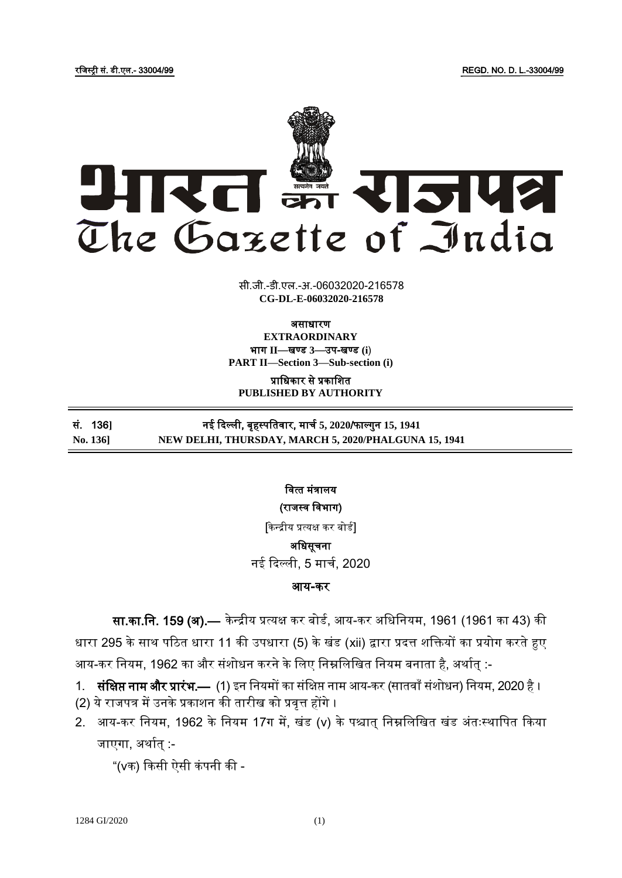रजिस्ट्री सं. डी.एल.- 33004/99 REGD. NO. D. L.-33004/99



सी.जी.-डी.एल.-अ.-06032020-216578 **xxxGIDExxx CG-DL-E-06032020-216578**

असाधारण

**EXTRAORDINARY** भाग **II**—खण् ड **3**—उप-खण् ड **(i**) **PART II—Section 3—Sub-section (i)**

प्राजधकार से प्रकाजित **PUBLISHED BY AUTHORITY**

## सं. 136**]** नई दिल्ली, बृहस्ट् पजतिार, माचड **5, 2020**/फाल् गुन **15, 1941 No. 136] NEW DELHI, THURSDAY, MARCH 5, 2020/PHALGUNA 15, 1941**

वित्त मंत्रालय (राजस्व विभाग)

[केन्द्रीय प्रत्यक्ष कर बोर्ड] अजधसूचना

नई दिल्ली, 5 मार्च, 2020

## आय**-**कर

सा.का.नि. 159 (अ).— केन्द्रीय प्रत्यक्ष कर बोर्ड, आय-कर अधिनियम, 1961 (1961 का 43) की

धारा 295 के साथ पठित धारा 11 की उपधारा (5) के खंड (xii) द्वारा प्रदत्त शक्तियों का प्रयोग करते हुए आय-कर नियम, 1962 का और संशोधन करने के लिए निम्नलिखित नियम बनाता है, अर्थात् :-

- 1. संक्षिप्त नाम और प्रारंभ.— (1) इन नियमों का संक्षिप्त नाम आय-कर (सातवाँ संशोधन) नियम, 2020 है ।
- (2) ये राजपत्र में उनके प्रकाशन की तारीख को प्रवृत्त होंगे ।
- 2. आय-कर नियम, 1962 के नियम 17ग में, खंड (v) के पश्चात् निम्नलिखित खंड अंतःस्थापित किया जाएगा, अर्थात :-

"( $\sqrt{ }$ क) किसी ऐसी कंपनी की -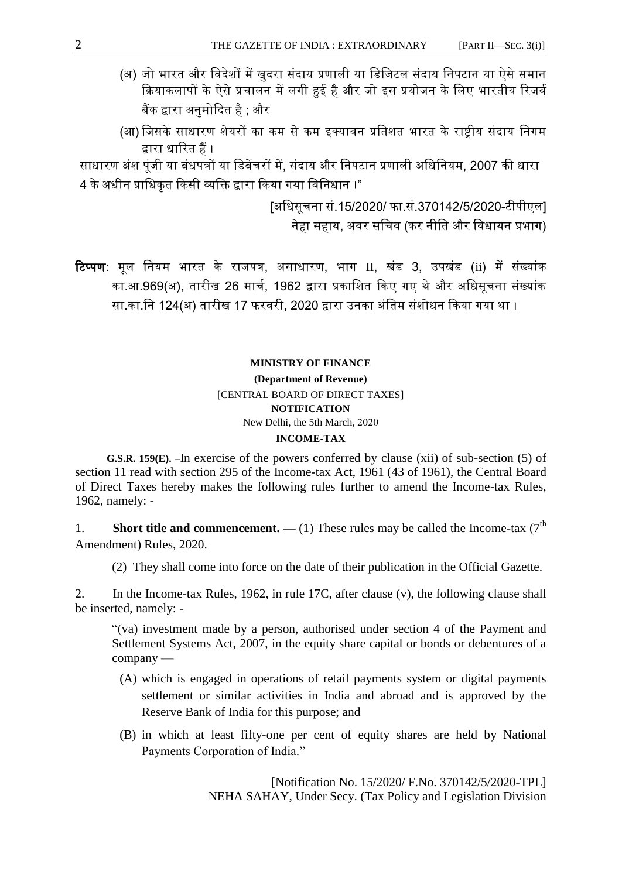- (अ) जो भारत और विदेशों में खुदरा संदाय प्रणाली या डिजिटल संदाय निपटान या ऐसे समान क्रियाकलापों के ऐसे प्रचालन में लगी हुई है और जो इस प्रयोजन के लिए भारतीय रिजर्व बैंक द्वारा अनुमोदित है ; और
- (आ) जिसके साधारण शेयरों का कम से कम इक्यावन प्रतिशत भारत के राष्टीय संदाय निगम द्वारा धाठरत हैं ।

साधारण अंश पंजी या बंधपत्रों या डिबेंचरों में, संदाय और निपटान प्रणाली अधिनियम, 2007 की धारा 4 के अधीन प्राधिकृत किसी व्यक्ति द्वारा किया गया विनिधान ।"

> [अजधसूचना सं.15/2020/ फा.सं.370142/5/2020-टीपीएल] नेहा सहाय, अवर सचिव (कर नीति और विधायन प्रभाग)

ठटप्पण: मूल जनयम भारत के रािपत्र, असाधारण, भाग II, खंड 3, उपखंड (ii) में संखयांक का.आ.969(अ), तारीख 26 माचड, 1962 द्वारा प्रकाजित दकए गए थे और अजधसूचना संखयांक सा.का.नि 124(अ) तारीख 17 फरवरी. 2020 द्वारा उनका अंतिम संशोधन किया गया था ।

## **MINISTRY OF FINANCE (Department of Revenue)** [CENTRAL BOARD OF DIRECT TAXES] **NOTIFICATION** New Delhi, the 5th March, 2020 **INCOME-TAX**

 **G.S.R. 159(E). –**In exercise of the powers conferred by clause (xii) of sub-section (5) of section 11 read with section 295 of the Income-tax Act, 1961 (43 of 1961), the Central Board of Direct Taxes hereby makes the following rules further to amend the Income-tax Rules, 1962, namely: -

1. **Short title and commencement.** — (1) These rules may be called the Income-tax ( $7<sup>th</sup>$ Amendment) Rules, 2020.

(2) They shall come into force on the date of their publication in the Official Gazette.

2. In the Income-tax Rules, 1962, in rule 17C, after clause (v), the following clause shall be inserted, namely: -

"(va) investment made by a person, authorised under section 4 of the Payment and Settlement Systems Act, 2007, in the equity share capital or bonds or debentures of a company —

- (A) which is engaged in operations of retail payments system or digital payments settlement or similar activities in India and abroad and is approved by the Reserve Bank of India for this purpose; and
- (B) in which at least fifty-one per cent of equity shares are held by National Payments Corporation of India."

[Notification No. 15/2020/ F.No. 370142/5/2020-TPL] NEHA SAHAY, Under Secy. (Tax Policy and Legislation Division